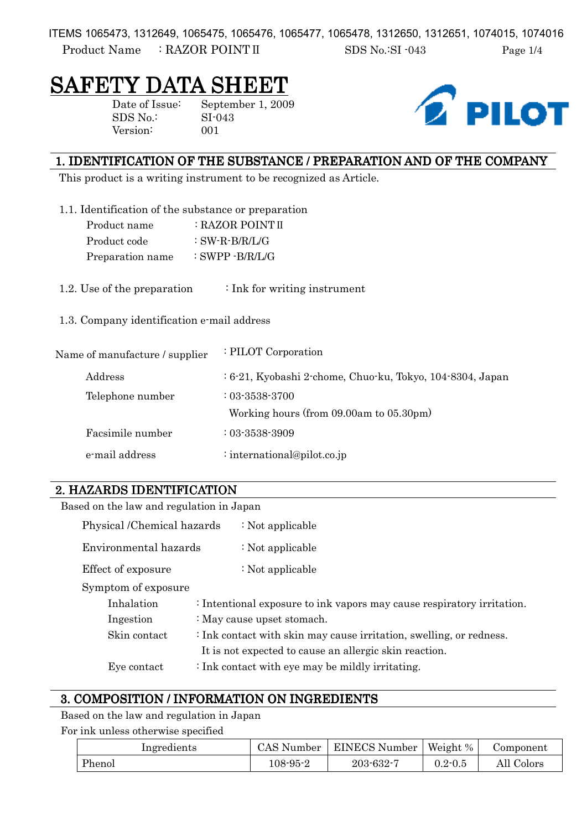ITEMS 1065473, 1312649, 1065475, 1065476, 1065477, 1065478, 1312650, 1312651, 1074015, 1074016

Product Name : RAZOR POINT II SDS No.:SI -043 Page 1/4

# SAFETY DATA SHEET

Version: 001

Date of Issue: September 1, 2009 SDS No.: SI-043



## 1. IDENTIFICATION OF THE SUBSTANCE / PREPARATION AND OF THE COMPANY

This product is a writing instrument to be recognized as Article.

- 1.1. Identification of the substance or preparation
	- Product name : RAZOR POINT II Product code : SW-R-B/R/L/G Preparation name : SWPP -B/R/L/G
- 1.2. Use of the preparation  $\cdot$  Ink for writing instrument

1.3. Company identification e-mail address

| Name of manufacture / supplier | : PILOT Corporation                                          |
|--------------------------------|--------------------------------------------------------------|
| Address                        | $: 6-21$ , Kyobashi 2-chome, Chuo-ku, Tokyo, 104-8304, Japan |
| Telephone number               | $: 03 - 3538 - 3700$                                         |
|                                | Working hours (from 09.00am to 05.30pm)                      |
| Facsimile number               | $: 03 - 3538 - 3909$                                         |
| e-mail address                 | : international@pilot.co.jp                                  |

## 2. HAZARDS IDENTIFICATION

| Based on the law and regulation in Japan               |                                                                        |  |
|--------------------------------------------------------|------------------------------------------------------------------------|--|
| Physical /Chemical hazards                             | : Not applicable                                                       |  |
| Environmental hazards                                  | : Not applicable                                                       |  |
| Effect of exposure                                     | : Not applicable                                                       |  |
| Symptom of exposure                                    |                                                                        |  |
| Inhalation                                             | : Intentional exposure to ink vapors may cause respiratory irritation. |  |
| Ingestion                                              | : May cause upset stomach.                                             |  |
| Skin contact                                           | : Ink contact with skin may cause irritation, swelling, or redness.    |  |
| It is not expected to cause an allergic skin reaction. |                                                                        |  |
| Eye contact                                            | $\div$ Ink contact with eye may be mildly irritating.                  |  |

## 3. COMPOSITION / INFORMATION ON INGREDIENTS

Based on the law and regulation in Japan

For ink unless otherwise specified

| Ingredients | CAS Number | <b>EINECS Number</b>                 | Weight %    | Component  |
|-------------|------------|--------------------------------------|-------------|------------|
| Phenol      | 108-95-2   | $203$ -632- $\overline{\phantom{a}}$ | $0.2 - 0.5$ | All Colors |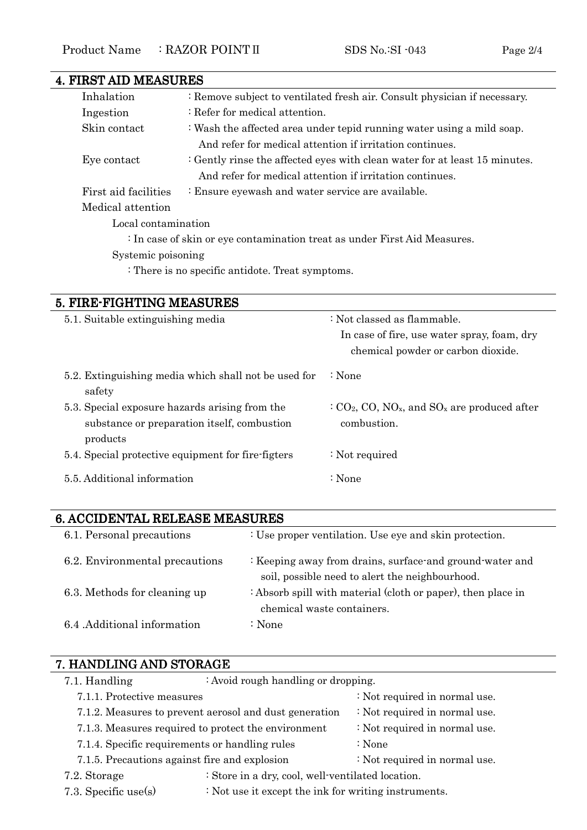| <b>4. FIRST AID MEASURES</b> |                                                                            |
|------------------------------|----------------------------------------------------------------------------|
| Inhalation                   | : Remove subject to ventilated fresh air. Consult physician if necessary.  |
| Ingestion                    | $\therefore$ Refer for medical attention.                                  |
| Skin contact                 | : Wash the affected area under tepid running water using a mild soap.      |
|                              | And refer for medical attention if irritation continues.                   |
| Eye contact                  | : Gently rinse the affected eyes with clean water for at least 15 minutes. |
|                              | And refer for medical attention if irritation continues.                   |
| First aid facilities         | : Ensure eyewash and water service are available.                          |
| Medical attention            |                                                                            |
| Local contamination          |                                                                            |
|                              | : In case of skin or eye contamination treat as under First Aid Measures.  |
| Systemic poisoning           |                                                                            |
|                              | : There is no specific antidote. Treat symptoms.                           |

## 5. FIRE-FIGHTING MEASURES

| 5.1. Suitable extinguishing media                                                                         | : Not classed as flammable.<br>In case of fire, use water spray, foam, dry<br>chemical powder or carbon dioxide. |
|-----------------------------------------------------------------------------------------------------------|------------------------------------------------------------------------------------------------------------------|
| 5.2. Extinguishing media which shall not be used for<br>safety                                            | ∶ None                                                                                                           |
| 5.3. Special exposure hazards arising from the<br>substance or preparation itself, combustion<br>products | $CO2, CO, NOx, and SOx are produced after$<br>combustion.                                                        |
| 5.4. Special protective equipment for fire-figters                                                        | : Not required                                                                                                   |
| 5.5. Additional information                                                                               | : None                                                                                                           |

## 6. ACCIDENTAL RELEASE MEASURES 6. MEASURES

| 6.1. Personal precautions      | : Use proper ventilation. Use eye and skin protection.                                                      |
|--------------------------------|-------------------------------------------------------------------------------------------------------------|
| 6.2. Environmental precautions | : Keeping away from drains, surface-and ground-water and<br>soil, possible need to alert the neighbourhood. |
| 6.3. Methods for cleaning up   | : Absorb spill with material (cloth or paper), then place in<br>chemical waste containers.                  |
| 6.4 Additional information     | : None                                                                                                      |

| 7. HANDLING AND STORAGE                                |                                                   |                                                      |  |  |
|--------------------------------------------------------|---------------------------------------------------|------------------------------------------------------|--|--|
| 7.1. Handling                                          | : Avoid rough handling or dropping.               |                                                      |  |  |
| 7.1.1. Protective measures                             |                                                   | : Not required in normal use.                        |  |  |
| 7.1.2. Measures to prevent aerosol and dust generation |                                                   | : Not required in normal use.                        |  |  |
| 7.1.3. Measures required to protect the environment    |                                                   | : Not required in normal use.                        |  |  |
| 7.1.4. Specific requirements or handling rules         |                                                   | $\therefore$ None                                    |  |  |
| 7.1.5. Precautions against fire and explosion          |                                                   | : Not required in normal use.                        |  |  |
| 7.2. Storage                                           | : Store in a dry, cool, well-ventilated location. |                                                      |  |  |
| 7.3. Specific use(s)                                   |                                                   | : Not use it except the ink for writing instruments. |  |  |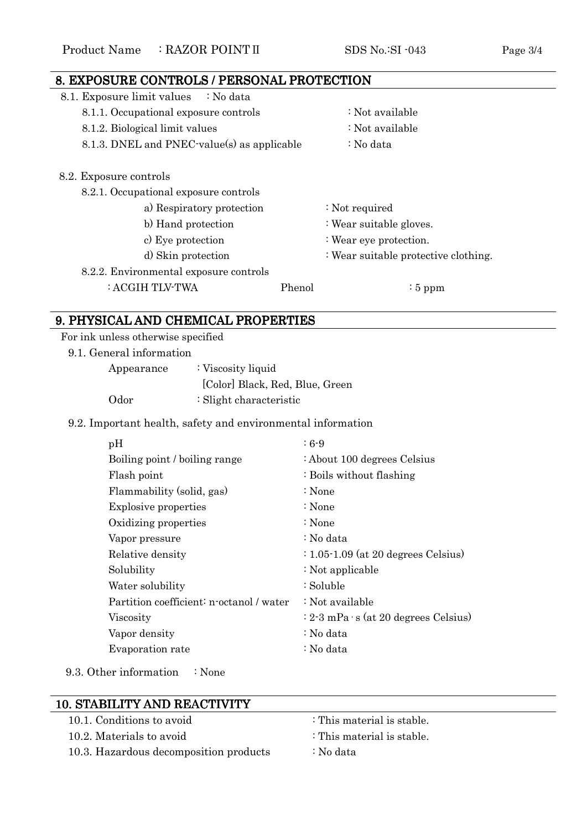## 8. EXPOSURE CONTROLS / PERSONAL PROTECTION 8.1. Exposure limit values : No data 8.1.1. Occupational exposure controls : Not available 8.1.2. Biological limit values : Not available 8.1.3. DNEL and PNEC-value(s) as applicable : No data 8.2. Exposure controls 8.2.1. Occupational exposure controls a) Respiratory protection : Not required b) Hand protection : Wear suitable gloves. c) Eye protection : Wear eye protection. d) Skin protection : Wear suitable protective clothing. 8.2.2. Environmental exposure controls : ACGIH TLV-TWA Phenol : 5 ppm

## 9. PHYSICAL AND CHEMICAL PROPERTIES

For ink unless otherwise specified

9.1. General information

| Appearance | : Viscosity liquid                 |
|------------|------------------------------------|
|            | [Color] Black, Red, Blue, Green    |
| Odor       | $\therefore$ Slight characteristic |

#### 9.2. Important health, safety and environmental information

| pH                                       | $: 6-9$                                        |
|------------------------------------------|------------------------------------------------|
| Boiling point / boiling range            | : About 100 degrees Celsius                    |
| Flash point                              | : Boils without flashing                       |
| Flammability (solid, gas)                | : None                                         |
| <b>Explosive properties</b>              | : None                                         |
| Oxidizing properties                     | : None                                         |
| Vapor pressure                           | : No data                                      |
| Relative density                         | $\div 1.05 \cdot 1.09$ (at 20 degrees Celsius) |
| Solubility                               | : Not applicable                               |
| Water solubility                         | : Soluble                                      |
| Partition coefficient: n-octanol / water | : Not available                                |
| Viscosity                                | $: 2-3$ mPa $\cdot$ s (at 20 degrees Celsius)  |
| Vapor density                            | : No data                                      |
| Evaporation rate                         | : No data                                      |

9.3. Other information : None

| <b>10. STABILITY AND REACTIVITY</b>    |                            |
|----------------------------------------|----------------------------|
| 10.1. Conditions to avoid              | : This material is stable. |
| 10.2. Materials to avoid               | : This material is stable. |
| 10.3. Hazardous decomposition products | : No data                  |
|                                        |                            |